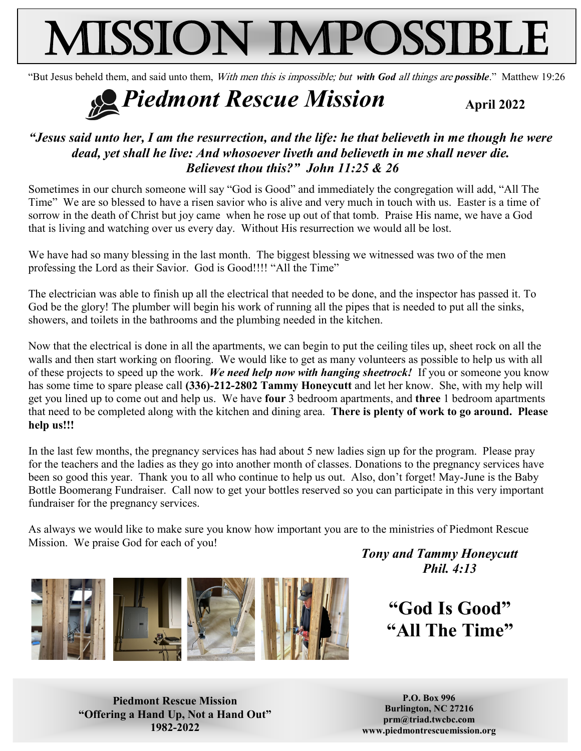# Mission Impossible

"But Jesus beheld them, and said unto them, With men this is impossible; but *with God* all things are *possible*." Matthew 19:26

## *Piedmont Rescue Mission April 2022*

#### *"Jesus said unto her, I am the resurrection, and the life: he that believeth in me though he were dead, yet shall he live: And whosoever liveth and believeth in me shall never die. Believest thou this?" John 11:25 & 26*

Sometimes in our church someone will say "God is Good" and immediately the congregation will add, "All The Time" We are so blessed to have a risen savior who is alive and very much in touch with us. Easter is a time of sorrow in the death of Christ but joy came when he rose up out of that tomb. Praise His name, we have a God that is living and watching over us every day. Without His resurrection we would all be lost.

We have had so many blessing in the last month. The biggest blessing we witnessed was two of the men professing the Lord as their Savior. God is Good!!!! "All the Time"

The electrician was able to finish up all the electrical that needed to be done, and the inspector has passed it. To God be the glory! The plumber will begin his work of running all the pipes that is needed to put all the sinks, showers, and toilets in the bathrooms and the plumbing needed in the kitchen.

Now that the electrical is done in all the apartments, we can begin to put the ceiling tiles up, sheet rock on all the walls and then start working on flooring. We would like to get as many volunteers as possible to help us with all of these projects to speed up the work. *We need help now with hanging sheetrock!* If you or someone you know has some time to spare please call **(336)-212-2802 Tammy Honeycutt** and let her know. She, with my help will get you lined up to come out and help us. We have **four** 3 bedroom apartments, and **three** 1 bedroom apartments that need to be completed along with the kitchen and dining area. **There is plenty of work to go around. Please help us!!!**

In the last few months, the pregnancy services has had about 5 new ladies sign up for the program. Please pray for the teachers and the ladies as they go into another month of classes. Donations to the pregnancy services have been so good this year. Thank you to all who continue to help us out. Also, don't forget! May-June is the Baby Bottle Boomerang Fundraiser. Call now to get your bottles reserved so you can participate in this very important fundraiser for the pregnancy services.

As always we would like to make sure you know how important you are to the ministries of Piedmont Rescue Mission. We praise God for each of you!



*Tony and Tammy Honeycutt Phil. 4:13*

> **"God Is Good" "All The Time"**

**Piedmont Rescue Mission "Offering a Hand Up, Not a Hand Out" 1982-2022**

**P.O. Box 996 Burlington, NC 27216 prm@triad.twcbc.com www.piedmontrescuemission.org**